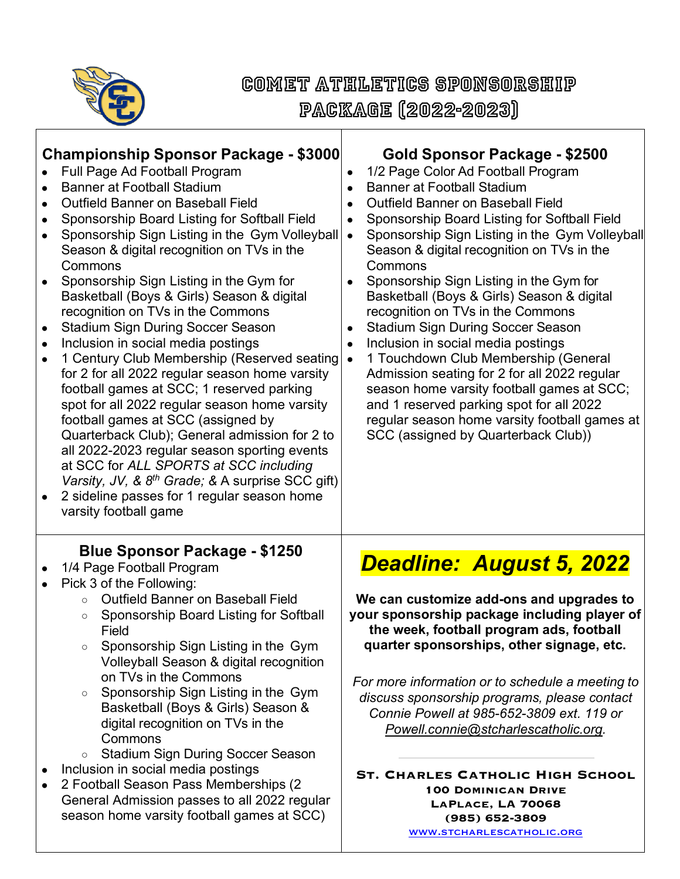

## Comet Athletics Sponsorship

Package (2022-2023)

| <b>Championship Sponsor Package - \$3000</b>                                                                                                                                                                                                                                                                                                                                                                                                                                                                                                                                                                                                                                                                          | Gold Sponsor Package - \$2500                                                                                                                                                                                                                                                                                                                                                                                                                                                                                                 |
|-----------------------------------------------------------------------------------------------------------------------------------------------------------------------------------------------------------------------------------------------------------------------------------------------------------------------------------------------------------------------------------------------------------------------------------------------------------------------------------------------------------------------------------------------------------------------------------------------------------------------------------------------------------------------------------------------------------------------|-------------------------------------------------------------------------------------------------------------------------------------------------------------------------------------------------------------------------------------------------------------------------------------------------------------------------------------------------------------------------------------------------------------------------------------------------------------------------------------------------------------------------------|
| Full Page Ad Football Program                                                                                                                                                                                                                                                                                                                                                                                                                                                                                                                                                                                                                                                                                         | 1/2 Page Color Ad Football Program                                                                                                                                                                                                                                                                                                                                                                                                                                                                                            |
| <b>Banner at Football Stadium</b>                                                                                                                                                                                                                                                                                                                                                                                                                                                                                                                                                                                                                                                                                     | $\bullet$                                                                                                                                                                                                                                                                                                                                                                                                                                                                                                                     |
| <b>Outfield Banner on Baseball Field</b>                                                                                                                                                                                                                                                                                                                                                                                                                                                                                                                                                                                                                                                                              | <b>Banner at Football Stadium</b>                                                                                                                                                                                                                                                                                                                                                                                                                                                                                             |
| $\bullet$                                                                                                                                                                                                                                                                                                                                                                                                                                                                                                                                                                                                                                                                                                             | $\bullet$                                                                                                                                                                                                                                                                                                                                                                                                                                                                                                                     |
| Sponsorship Board Listing for Softball Field                                                                                                                                                                                                                                                                                                                                                                                                                                                                                                                                                                                                                                                                          | <b>Outfield Banner on Baseball Field</b>                                                                                                                                                                                                                                                                                                                                                                                                                                                                                      |
| Sponsorship Sign Listing in the Gym Volleyball                                                                                                                                                                                                                                                                                                                                                                                                                                                                                                                                                                                                                                                                        | $\bullet$                                                                                                                                                                                                                                                                                                                                                                                                                                                                                                                     |
| Season & digital recognition on TVs in the                                                                                                                                                                                                                                                                                                                                                                                                                                                                                                                                                                                                                                                                            | Sponsorship Board Listing for Softball Field                                                                                                                                                                                                                                                                                                                                                                                                                                                                                  |
| Commons                                                                                                                                                                                                                                                                                                                                                                                                                                                                                                                                                                                                                                                                                                               | $\bullet$                                                                                                                                                                                                                                                                                                                                                                                                                                                                                                                     |
| Sponsorship Sign Listing in the Gym for                                                                                                                                                                                                                                                                                                                                                                                                                                                                                                                                                                                                                                                                               | Sponsorship Sign Listing in the Gym Volleyball                                                                                                                                                                                                                                                                                                                                                                                                                                                                                |
| Basketball (Boys & Girls) Season & digital                                                                                                                                                                                                                                                                                                                                                                                                                                                                                                                                                                                                                                                                            | $\bullet$                                                                                                                                                                                                                                                                                                                                                                                                                                                                                                                     |
| recognition on TVs in the Commons                                                                                                                                                                                                                                                                                                                                                                                                                                                                                                                                                                                                                                                                                     | Season & digital recognition on TVs in the                                                                                                                                                                                                                                                                                                                                                                                                                                                                                    |
| <b>Stadium Sign During Soccer Season</b>                                                                                                                                                                                                                                                                                                                                                                                                                                                                                                                                                                                                                                                                              | Commons                                                                                                                                                                                                                                                                                                                                                                                                                                                                                                                       |
| $\bullet$                                                                                                                                                                                                                                                                                                                                                                                                                                                                                                                                                                                                                                                                                                             | Sponsorship Sign Listing in the Gym for                                                                                                                                                                                                                                                                                                                                                                                                                                                                                       |
| Inclusion in social media postings                                                                                                                                                                                                                                                                                                                                                                                                                                                                                                                                                                                                                                                                                    | $\bullet$                                                                                                                                                                                                                                                                                                                                                                                                                                                                                                                     |
| $\bullet$                                                                                                                                                                                                                                                                                                                                                                                                                                                                                                                                                                                                                                                                                                             | Basketball (Boys & Girls) Season & digital                                                                                                                                                                                                                                                                                                                                                                                                                                                                                    |
| 1 Century Club Membership (Reserved seating)                                                                                                                                                                                                                                                                                                                                                                                                                                                                                                                                                                                                                                                                          | recognition on TVs in the Commons                                                                                                                                                                                                                                                                                                                                                                                                                                                                                             |
| $\bullet$                                                                                                                                                                                                                                                                                                                                                                                                                                                                                                                                                                                                                                                                                                             | <b>Stadium Sign During Soccer Season</b>                                                                                                                                                                                                                                                                                                                                                                                                                                                                                      |
| for 2 for all 2022 regular season home varsity                                                                                                                                                                                                                                                                                                                                                                                                                                                                                                                                                                                                                                                                        | $\bullet$                                                                                                                                                                                                                                                                                                                                                                                                                                                                                                                     |
| football games at SCC; 1 reserved parking                                                                                                                                                                                                                                                                                                                                                                                                                                                                                                                                                                                                                                                                             | Inclusion in social media postings                                                                                                                                                                                                                                                                                                                                                                                                                                                                                            |
| spot for all 2022 regular season home varsity                                                                                                                                                                                                                                                                                                                                                                                                                                                                                                                                                                                                                                                                         | $\bullet$                                                                                                                                                                                                                                                                                                                                                                                                                                                                                                                     |
| football games at SCC (assigned by                                                                                                                                                                                                                                                                                                                                                                                                                                                                                                                                                                                                                                                                                    | 1 Touchdown Club Membership (General                                                                                                                                                                                                                                                                                                                                                                                                                                                                                          |
| Quarterback Club); General admission for 2 to                                                                                                                                                                                                                                                                                                                                                                                                                                                                                                                                                                                                                                                                         | $\bullet$                                                                                                                                                                                                                                                                                                                                                                                                                                                                                                                     |
| all 2022-2023 regular season sporting events                                                                                                                                                                                                                                                                                                                                                                                                                                                                                                                                                                                                                                                                          | Admission seating for 2 for all 2022 regular                                                                                                                                                                                                                                                                                                                                                                                                                                                                                  |
| at SCC for ALL SPORTS at SCC including                                                                                                                                                                                                                                                                                                                                                                                                                                                                                                                                                                                                                                                                                | season home varsity football games at SCC;                                                                                                                                                                                                                                                                                                                                                                                                                                                                                    |
| Varsity, JV, & $8^{th}$ Grade; & A surprise SCC gift)                                                                                                                                                                                                                                                                                                                                                                                                                                                                                                                                                                                                                                                                 | and 1 reserved parking spot for all 2022                                                                                                                                                                                                                                                                                                                                                                                                                                                                                      |
| 2 sideline passes for 1 regular season home                                                                                                                                                                                                                                                                                                                                                                                                                                                                                                                                                                                                                                                                           | regular season home varsity football games at                                                                                                                                                                                                                                                                                                                                                                                                                                                                                 |
| varsity football game                                                                                                                                                                                                                                                                                                                                                                                                                                                                                                                                                                                                                                                                                                 | SCC (assigned by Quarterback Club))                                                                                                                                                                                                                                                                                                                                                                                                                                                                                           |
| <b>Blue Sponsor Package - \$1250</b><br>1/4 Page Football Program<br>Pick 3 of the Following:<br><b>Outfield Banner on Baseball Field</b><br>$\circ$<br>Sponsorship Board Listing for Softball<br>$\circ$<br>Field<br>Sponsorship Sign Listing in the Gym<br>$\circ$<br>Volleyball Season & digital recognition<br>on TVs in the Commons<br>Sponsorship Sign Listing in the Gym<br>$\circ$<br>Basketball (Boys & Girls) Season &<br>digital recognition on TVs in the<br>Commons<br><b>Stadium Sign During Soccer Season</b><br>$\circ$<br>Inclusion in social media postings<br>2 Football Season Pass Memberships (2)<br>General Admission passes to all 2022 regular<br>season home varsity football games at SCC) | <b>Deadline: August 5, 2022</b><br>We can customize add-ons and upgrades to<br>your sponsorship package including player of<br>the week, football program ads, football<br>quarter sponsorships, other signage, etc.<br>For more information or to schedule a meeting to<br>discuss sponsorship programs, please contact<br>Connie Powell at 985-652-3809 ext. 119 or<br>Powell.connie@stcharlescatholic.org.<br><b>ST. CHARLES CATHOLIC HIGH SCHOOL</b><br><b>100 DOMINICAN DRIVE</b><br>LAPLACE, LA 70068<br>(985) 652-3809 |